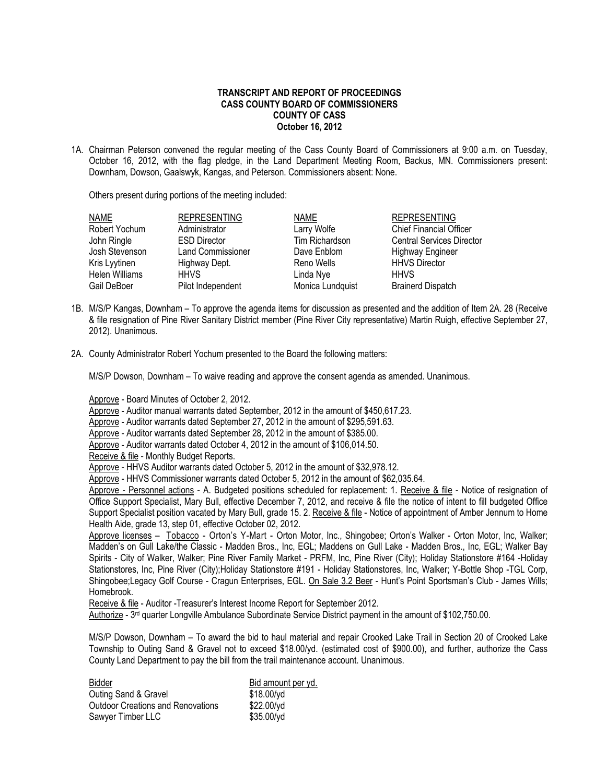## **TRANSCRIPT AND REPORT OF PROCEEDINGS CASS COUNTY BOARD OF COMMISSIONERS COUNTY OF CASS October 16, 2012**

1A. Chairman Peterson convened the regular meeting of the Cass County Board of Commissioners at 9:00 a.m. on Tuesday, October 16, 2012, with the flag pledge, in the Land Department Meeting Room, Backus, MN. Commissioners present: Downham, Dowson, Gaalswyk, Kangas, and Peterson. Commissioners absent: None.

Others present during portions of the meeting included:

| NAME           | <b>REPRESENTING</b>      | <b>NAME</b>      | <b>REPRESENTING</b>              |
|----------------|--------------------------|------------------|----------------------------------|
| Robert Yochum  | Administrator            | Larry Wolfe      | <b>Chief Financial Officer</b>   |
| John Ringle    | <b>ESD Director</b>      | Tim Richardson   | <b>Central Services Director</b> |
| Josh Stevenson | <b>Land Commissioner</b> | Dave Enblom      | <b>Highway Engineer</b>          |
| Kris Lyytinen  | Highway Dept.            | Reno Wells       | <b>HHVS Director</b>             |
| Helen Williams | <b>HHVS</b>              | Linda Nye        | <b>HHVS</b>                      |
| Gail DeBoer    | Pilot Independent        | Monica Lundquist | <b>Brainerd Dispatch</b>         |
|                |                          |                  |                                  |

- 1B. M/S/P Kangas, Downham To approve the agenda items for discussion as presented and the addition of Item 2A. 28 (Receive & file resignation of Pine River Sanitary District member (Pine River City representative) Martin Ruigh, effective September 27, 2012). Unanimous.
- 2A. County Administrator Robert Yochum presented to the Board the following matters:

M/S/P Dowson, Downham – To waive reading and approve the consent agenda as amended. Unanimous.

Approve - Board Minutes of October 2, 2012.

Approve - Auditor manual warrants dated September, 2012 in the amount of \$450,617.23.

Approve - Auditor warrants dated September 27, 2012 in the amount of \$295,591.63.

Approve - Auditor warrants dated September 28, 2012 in the amount of \$385.00.

- Approve Auditor warrants dated October 4, 2012 in the amount of \$106,014.50.
- Receive & file Monthly Budget Reports.

Approve - HHVS Auditor warrants dated October 5, 2012 in the amount of \$32,978.12.

Approve - HHVS Commissioner warrants dated October 5, 2012 in the amount of \$62,035.64.

Approve - Personnel actions - A. Budgeted positions scheduled for replacement: 1. Receive & file - Notice of resignation of Office Support Specialist, Mary Bull, effective December 7, 2012, and receive & file the notice of intent to fill budgeted Office Support Specialist position vacated by Mary Bull, grade 15. 2. Receive & file - Notice of appointment of Amber Jennum to Home Health Aide, grade 13, step 01, effective October 02, 2012.

Approve licenses – Tobacco - Orton's Y-Mart - Orton Motor, Inc., Shingobee; Orton's Walker - Orton Motor, Inc, Walker; Madden's on Gull Lake/the Classic - Madden Bros., Inc, EGL; Maddens on Gull Lake - Madden Bros., Inc, EGL; Walker Bay Spirits - City of Walker, Walker; Pine River Family Market - PRFM, Inc, Pine River (City); Holiday Stationstore #164 -Holiday Stationstores, Inc, Pine River (City);Holiday Stationstore #191 - Holiday Stationstores, Inc, Walker; Y-Bottle Shop -TGL Corp, Shingobee;Legacy Golf Course - Cragun Enterprises, EGL. On Sale 3.2 Beer - Hunt's Point Sportsman's Club - James Wills; Homebrook.

Receive & file - Auditor -Treasurer's Interest Income Report for September 2012.

Authorize - 3<sup>rd</sup> quarter Longville Ambulance Subordinate Service District payment in the amount of \$102,750.00.

M/S/P Dowson, Downham – To award the bid to haul material and repair Crooked Lake Trail in Section 20 of Crooked Lake Township to Outing Sand & Gravel not to exceed \$18.00/yd. (estimated cost of \$900.00), and further, authorize the Cass County Land Department to pay the bill from the trail maintenance account. Unanimous.

| Bidder                                   | Bid amount per yd. |
|------------------------------------------|--------------------|
| Outing Sand & Gravel                     | \$18.00/yd         |
| <b>Outdoor Creations and Renovations</b> | \$22.00/yd         |
| Sawyer Timber LLC                        | \$35.00/yd         |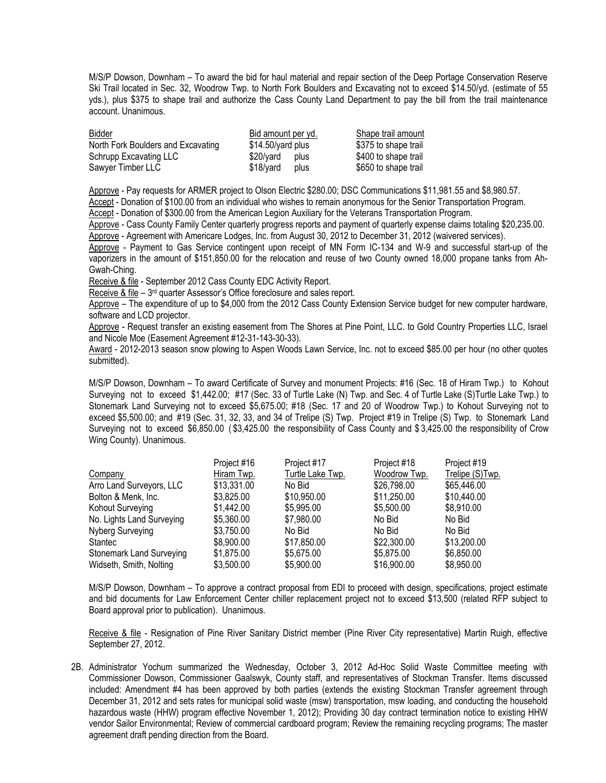M/S/P Dowson, Downham – To award the bid for haul material and repair section of the Deep Portage Conservation Reserve Ski Trail located in Sec. 32, Woodrow Twp. to North Fork Boulders and Excavating not to exceed \$14.50/yd. (estimate of 55 yds.), plus \$375 to shape trail and authorize the Cass County Land Department to pay the bill from the trail maintenance account. Unanimous.

| Bidder                             | Bid amount per yd.  | Shape trail amount   |
|------------------------------------|---------------------|----------------------|
| North Fork Boulders and Excavating | $$14.50/$ yard plus | \$375 to shape trail |
| Schrupp Excavating LLC             | \$20/vard<br>plus   | \$400 to shape trail |
| Sawyer Timber LLC                  | \$18/vard<br>plus   | \$650 to shape trail |

Approve - Pay requests for ARMER project to Olson Electric \$280.00; DSC Communications \$11,981.55 and \$8,980.57.

Accept - Donation of \$100.00 from an individual who wishes to remain anonymous for the Senior Transportation Program.

Accept - Donation of \$300.00 from the American Legion Auxiliary for the Veterans Transportation Program.

Approve - Cass County Family Center quarterly progress reports and payment of quarterly expense claims totaling \$20,235.00.

Approve - Agreement with Americare Lodges, Inc. from August 30, 2012 to December 31, 2012 (waivered services).

Approve - Payment to Gas Service contingent upon receipt of MN Form IC-134 and W-9 and successful start-up of the vaporizers in the amount of \$151,850.00 for the relocation and reuse of two County owned 18,000 propane tanks from Ah-Gwah-Ching.

Receive & file - September 2012 Cass County EDC Activity Report.

Receive & file – 3<sup>rd</sup> quarter Assessor's Office foreclosure and sales report.

Approve – The expenditure of up to \$4,000 from the 2012 Cass County Extension Service budget for new computer hardware, software and LCD projector.

Approve - Request transfer an existing easement from The Shores at Pine Point, LLC. to Gold Country Properties LLC, Israel and Nicole Moe (Easement Agreement #12-31-143-30-33).

Award - 2012-2013 season snow plowing to Aspen Woods Lawn Service, Inc. not to exceed \$85.00 per hour (no other quotes submitted).

M/S/P Dowson, Downham – To award Certificate of Survey and monument Projects: #16 (Sec. 18 of Hiram Twp.) to Kohout Surveying not to exceed \$1,442.00; #17 (Sec. 33 of Turtle Lake (N) Twp. and Sec. 4 of Turtle Lake (S)Turtle Lake Twp.) to Stonemark Land Surveying not to exceed \$5,675.00; #18 (Sec. 17 and 20 of Woodrow Twp.) to Kohout Surveying not to exceed \$5,500.00; and #19 (Sec. 31, 32, 33, and 34 of Trelipe (S) Twp. Project #19 in Trelipe (S) Twp. to Stonemark Land Surveying not to exceed \$6,850.00 ( \$3,425.00 the responsibility of Cass County and \$ 3,425.00 the responsibility of Crow Wing County). Unanimous.

|                                 | Project #16 | Project #17      | Project #18  | Project #19     |
|---------------------------------|-------------|------------------|--------------|-----------------|
| Company                         | Hiram Twp.  | Turtle Lake Twp. | Woodrow Twp. | Trelipe (S)Twp. |
| Arro Land Surveyors, LLC        | \$13,331.00 | No Bid           | \$26,798.00  | \$65,446.00     |
| Bolton & Menk, Inc.             | \$3,825.00  | \$10,950.00      | \$11,250.00  | \$10,440.00     |
| Kohout Surveying                | \$1,442.00  | \$5,995.00       | \$5,500.00   | \$8,910.00      |
| No. Lights Land Surveying       | \$5,360.00  | \$7,980.00       | No Bid       | No Bid          |
| Nyberg Surveying                | \$3,750.00  | No Bid           | No Bid       | No Bid          |
| Stantec                         | \$8,900.00  | \$17,850.00      | \$22,300.00  | \$13,200.00     |
| <b>Stonemark Land Surveying</b> | \$1,875.00  | \$5,675.00       | \$5,875.00   | \$6,850.00      |
| Widseth, Smith, Nolting         | \$3,500.00  | \$5,900.00       | \$16,900.00  | \$8,950.00      |

M/S/P Dowson, Downham – To approve a contract proposal from EDI to proceed with design, specifications, project estimate and bid documents for Law Enforcement Center chiller replacement project not to exceed \$13,500 (related RFP subject to Board approval prior to publication). Unanimous.

Receive & file - Resignation of Pine River Sanitary District member (Pine River City representative) Martin Ruigh, effective September 27, 2012.

2B. Administrator Yochum summarized the Wednesday, October 3, 2012 Ad-Hoc Solid Waste Committee meeting with Commissioner Dowson, Commissioner Gaalswyk, County staff, and representatives of Stockman Transfer. Items discussed included: Amendment #4 has been approved by both parties (extends the existing Stockman Transfer agreement through December 31, 2012 and sets rates for municipal solid waste (msw) transportation, msw loading, and conducting the household hazardous waste (HHW) program effective November 1, 2012); Providing 30 day contract termination notice to existing HHW vendor Sailor Environmental; Review of commercial cardboard program; Review the remaining recycling programs; The master agreement draft pending direction from the Board.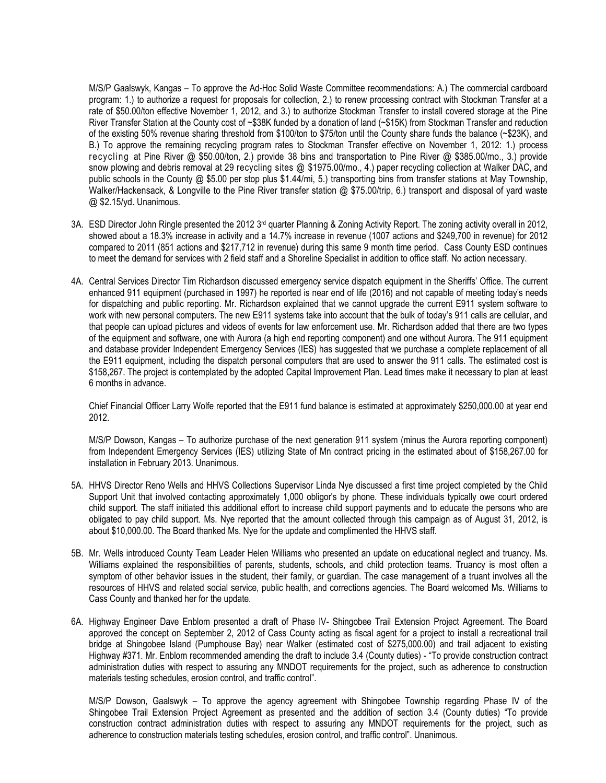M/S/P Gaalswyk, Kangas – To approve the Ad-Hoc Solid Waste Committee recommendations: A.) The commercial cardboard program: 1.) to authorize a request for proposals for collection, 2.) to renew processing contract with Stockman Transfer at a rate of \$50.00/ton effective November 1, 2012, and 3.) to authorize Stockman Transfer to install covered storage at the Pine River Transfer Station at the County cost of ~\$38K funded by a donation of land (~\$15K) from Stockman Transfer and reduction of the existing 50% revenue sharing threshold from \$100/ton to \$75/ton until the County share funds the balance (~\$23K), and B.) To approve the remaining recycling program rates to Stockman Transfer effective on November 1, 2012: 1.) process recycling at Pine River @ \$50.00/ton, 2.) provide 38 bins and transportation to Pine River @ \$385.00/mo., 3.) provide snow plowing and debris removal at 29 recycling sites @ \$1975.00/mo., 4.) paper recycling collection at Walker DAC, and public schools in the County @ \$5.00 per stop plus \$1.44/mi, 5.) transporting bins from transfer stations at May Township, Walker/Hackensack, & Longville to the Pine River transfer station @ \$75.00/trip, 6.) transport and disposal of yard waste @ \$2.15/yd. Unanimous.

- 3A. ESD Director John Ringle presented the 2012  $3<sup>rd</sup>$  quarter Planning & Zoning Activity Report. The zoning activity overall in 2012, showed about a 18.3% increase in activity and a 14.7% increase in revenue (1007 actions and \$249,700 in revenue) for 2012 compared to 2011 (851 actions and \$217,712 in revenue) during this same 9 month time period. Cass County ESD continues to meet the demand for services with 2 field staff and a Shoreline Specialist in addition to office staff. No action necessary.
- 4A. Central Services Director Tim Richardson discussed emergency service dispatch equipment in the Sheriffs' Office. The current enhanced 911 equipment (purchased in 1997) he reported is near end of life (2016) and not capable of meeting today's needs for dispatching and public reporting. Mr. Richardson explained that we cannot upgrade the current E911 system software to work with new personal computers. The new E911 systems take into account that the bulk of today's 911 calls are cellular, and that people can upload pictures and videos of events for law enforcement use. Mr. Richardson added that there are two types of the equipment and software, one with Aurora (a high end reporting component) and one without Aurora. The 911 equipment and database provider Independent Emergency Services (IES) has suggested that we purchase a complete replacement of all the E911 equipment, including the dispatch personal computers that are used to answer the 911 calls. The estimated cost is \$158,267. The project is contemplated by the adopted Capital Improvement Plan. Lead times make it necessary to plan at least 6 months in advance.

Chief Financial Officer Larry Wolfe reported that the E911 fund balance is estimated at approximately \$250,000.00 at year end 2012.

M/S/P Dowson, Kangas – To authorize purchase of the next generation 911 system (minus the Aurora reporting component) from Independent Emergency Services (IES) utilizing State of Mn contract pricing in the estimated about of \$158,267.00 for installation in February 2013. Unanimous.

- 5A. HHVS Director Reno Wells and HHVS Collections Supervisor Linda Nye discussed a first time project completed by the Child Support Unit that involved contacting approximately 1,000 obligor's by phone. These individuals typically owe court ordered child support. The staff initiated this additional effort to increase child support payments and to educate the persons who are obligated to pay child support. Ms. Nye reported that the amount collected through this campaign as of August 31, 2012, is about \$10,000.00. The Board thanked Ms. Nye for the update and complimented the HHVS staff.
- 5B. Mr. Wells introduced County Team Leader Helen Williams who presented an update on educational neglect and truancy. Ms. Williams explained the responsibilities of parents, students, schools, and child protection teams. Truancy is most often a symptom of other behavior issues in the student, their family, or guardian. The case management of a truant involves all the resources of HHVS and related social service, public health, and corrections agencies. The Board welcomed Ms. Williams to Cass County and thanked her for the update.
- 6A. Highway Engineer Dave Enblom presented a draft of Phase IV- Shingobee Trail Extension Project Agreement. The Board approved the concept on September 2, 2012 of Cass County acting as fiscal agent for a project to install a recreational trail bridge at Shingobee Island (Pumphouse Bay) near Walker (estimated cost of \$275,000.00) and trail adjacent to existing Highway #371. Mr. Enblom recommended amending the draft to include 3.4 (County duties) - "To provide construction contract administration duties with respect to assuring any MNDOT requirements for the project, such as adherence to construction materials testing schedules, erosion control, and traffic control".

M/S/P Dowson, Gaalswyk – To approve the agency agreement with Shingobee Township regarding Phase IV of the Shingobee Trail Extension Project Agreement as presented and the addition of section 3.4 (County duties) "To provide construction contract administration duties with respect to assuring any MNDOT requirements for the project, such as adherence to construction materials testing schedules, erosion control, and traffic control". Unanimous.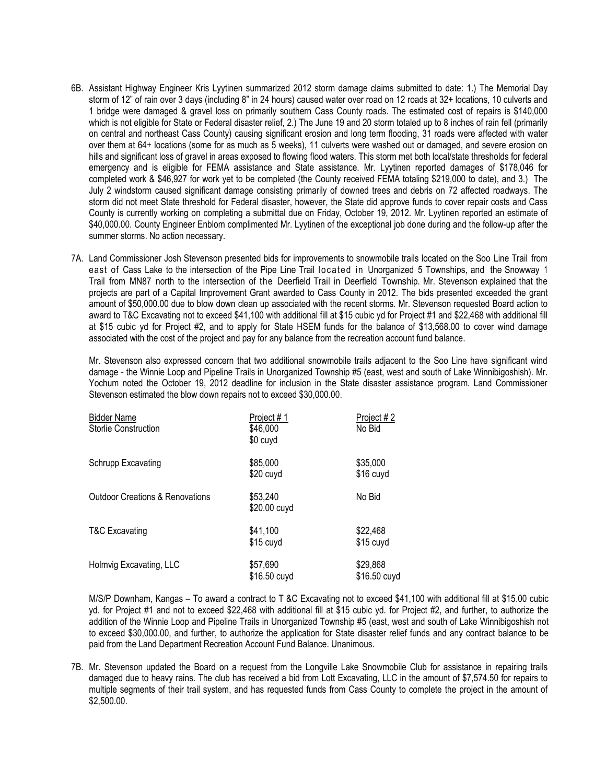- 6B. Assistant Highway Engineer Kris Lyytinen summarized 2012 storm damage claims submitted to date: 1.) The Memorial Day storm of 12" of rain over 3 days (including 8" in 24 hours) caused water over road on 12 roads at 32+ locations, 10 culverts and 1 bridge were damaged & gravel loss on primarily southern Cass County roads. The estimated cost of repairs is \$140,000 which is not eligible for State or Federal disaster relief, 2.) The June 19 and 20 storm totaled up to 8 inches of rain fell (primarily on central and northeast Cass County) causing significant erosion and long term flooding, 31 roads were affected with water over them at 64+ locations (some for as much as 5 weeks), 11 culverts were washed out or damaged, and severe erosion on hills and significant loss of gravel in areas exposed to flowing flood waters. This storm met both local/state thresholds for federal emergency and is eligible for FEMA assistance and State assistance. Mr. Lyytinen reported damages of \$178,046 for completed work & \$46,927 for work yet to be completed (the County received FEMA totaling \$219,000 to date), and 3.) The July 2 windstorm caused significant damage consisting primarily of downed trees and debris on 72 affected roadways. The storm did not meet State threshold for Federal disaster, however, the State did approve funds to cover repair costs and Cass County is currently working on completing a submittal due on Friday, October 19, 2012. Mr. Lyytinen reported an estimate of \$40,000.00. County Engineer Enblom complimented Mr. Lyytinen of the exceptional job done during and the follow-up after the summer storms. No action necessary.
- 7A. Land Commissioner Josh Stevenson presented bids for improvements to snowmobile trails located on the Soo Line Trail from east of Cass Lake to the intersection of the Pipe Line Trail located in Unorganized 5 Townships, and the Snowway 1 Trail from MN87 north to the intersection of the Deerfield Trail in Deerfield Township. Mr. Stevenson explained that the projects are part of a Capital Improvement Grant awarded to Cass County in 2012. The bids presented exceeded the grant amount of \$50,000.00 due to blow down clean up associated with the recent storms. Mr. Stevenson requested Board action to award to T&C Excavating not to exceed \$41,100 with additional fill at \$15 cubic yd for Project #1 and \$22,468 with additional fill at \$15 cubic yd for Project #2, and to apply for State HSEM funds for the balance of \$13,568.00 to cover wind damage associated with the cost of the project and pay for any balance from the recreation account fund balance.

Mr. Stevenson also expressed concern that two additional snowmobile trails adjacent to the Soo Line have significant wind damage - the Winnie Loop and Pipeline Trails in Unorganized Township #5 (east, west and south of Lake Winnibigoshish). Mr. Yochum noted the October 19, 2012 deadline for inclusion in the State disaster assistance program. Land Commissioner Stevenson estimated the blow down repairs not to exceed \$30,000.00.

| <b>Bidder Name</b><br>Storlie Construction | Project #1<br>\$46,000<br>\$0 cuyd | Project #2<br>No Bid     |
|--------------------------------------------|------------------------------------|--------------------------|
| Schrupp Excavating                         | \$85,000<br>\$20 cuyd              | \$35,000<br>\$16 cuyd    |
| <b>Outdoor Creations &amp; Renovations</b> | \$53,240<br>\$20.00 cuyd           | No Bid                   |
| <b>T&amp;C Excavating</b>                  | \$41,100<br>\$15 cuyd              | \$22,468<br>\$15 cuyd    |
| Holmvig Excavating, LLC                    | \$57,690<br>\$16.50 cuyd           | \$29,868<br>\$16.50 cuyd |

M/S/P Downham, Kangas – To award a contract to T &C Excavating not to exceed \$41,100 with additional fill at \$15.00 cubic yd. for Project #1 and not to exceed \$22,468 with additional fill at \$15 cubic yd. for Project #2, and further, to authorize the addition of the Winnie Loop and Pipeline Trails in Unorganized Township #5 (east, west and south of Lake Winnibigoshish not to exceed \$30,000.00, and further, to authorize the application for State disaster relief funds and any contract balance to be paid from the Land Department Recreation Account Fund Balance. Unanimous.

7B. Mr. Stevenson updated the Board on a request from the Longville Lake Snowmobile Club for assistance in repairing trails damaged due to heavy rains. The club has received a bid from Lott Excavating, LLC in the amount of \$7,574.50 for repairs to multiple segments of their trail system, and has requested funds from Cass County to complete the project in the amount of \$2,500.00.